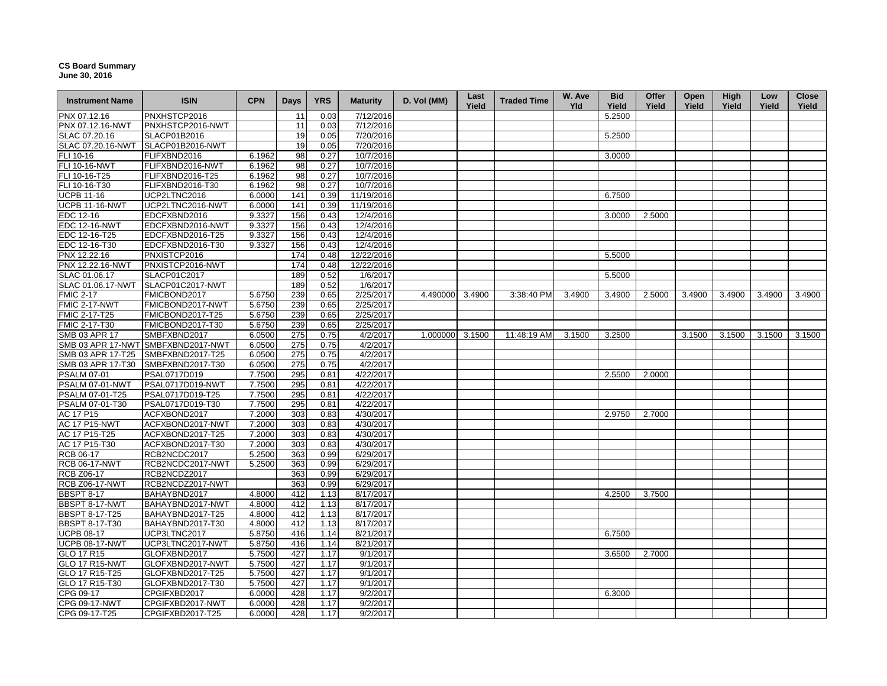## **CS Board Summary June 30, 2016**

| <b>Instrument Name</b> | <b>ISIN</b>                        | <b>CPN</b> | <b>Days</b> | <b>YRS</b> | <b>Maturity</b> | D. Vol (MM)     | Last<br>Yield | <b>Traded Time</b> | W. Ave<br><b>Yld</b> | <b>Bid</b><br>Yield | Offer<br>Yield | Open<br>Yield | <b>High</b><br>Yield | Low<br>Yield | Close<br>Yield |
|------------------------|------------------------------------|------------|-------------|------------|-----------------|-----------------|---------------|--------------------|----------------------|---------------------|----------------|---------------|----------------------|--------------|----------------|
| PNX 07.12.16           | PNXHSTCP2016                       |            | 11          | 0.03       | 7/12/2016       |                 |               |                    |                      | 5.2500              |                |               |                      |              |                |
| PNX 07.12.16-NWT       | PNXHSTCP2016-NWT                   |            | 11          | 0.03       | 7/12/2016       |                 |               |                    |                      |                     |                |               |                      |              |                |
| SLAC 07.20.16          | SLACP01B2016                       |            | 19          | 0.05       | 7/20/2016       |                 |               |                    |                      | 5.2500              |                |               |                      |              |                |
| SLAC 07.20.16-NWT      | SLACP01B2016-NWT                   |            | 19          | 0.05       | 7/20/2016       |                 |               |                    |                      |                     |                |               |                      |              |                |
| FLI 10-16              | FLIFXBND2016                       | 6.1962     | 98          | 0.27       | 10/7/2016       |                 |               |                    |                      | 3.0000              |                |               |                      |              |                |
| <b>FLI 10-16-NWT</b>   | FLIFXBND2016-NWT                   | 6.1962     | 98          | 0.27       | 10/7/2016       |                 |               |                    |                      |                     |                |               |                      |              |                |
| FLI 10-16-T25          | FLIFXBND2016-T25                   | 6.1962     | 98          | 0.27       | 10/7/2016       |                 |               |                    |                      |                     |                |               |                      |              |                |
| FLI 10-16-T30          | FLIFXBND2016-T30                   | 6.1962     | 98          | 0.27       | 10/7/2016       |                 |               |                    |                      |                     |                |               |                      |              |                |
| <b>UCPB 11-16</b>      | UCP2LTNC2016                       | 6.0000     | 141         | 0.39       | 11/19/2016      |                 |               |                    |                      | 6.7500              |                |               |                      |              |                |
| <b>UCPB 11-16-NWT</b>  | UCP2LTNC2016-NWT                   | 6.0000     | 141         | 0.39       | 11/19/2016      |                 |               |                    |                      |                     |                |               |                      |              |                |
| EDC 12-16              | EDCFXBND2016                       | 9.3327     | 156         | 0.43       | 12/4/2016       |                 |               |                    |                      | 3.0000              | 2.5000         |               |                      |              |                |
| <b>EDC 12-16-NWT</b>   | EDCFXBND2016-NWT                   | 9.3327     | 156         | 0.43       | 12/4/2016       |                 |               |                    |                      |                     |                |               |                      |              |                |
| EDC 12-16-T25          | EDCFXBND2016-T25                   | 9.3327     | 156         | 0.43       | 12/4/2016       |                 |               |                    |                      |                     |                |               |                      |              |                |
| EDC 12-16-T30          | EDCFXBND2016-T30                   | 9.3327     | 156         | 0.43       | 12/4/2016       |                 |               |                    |                      |                     |                |               |                      |              |                |
| PNX 12.22.16           | PNXISTCP2016                       |            | 174         | 0.48       | 12/22/2016      |                 |               |                    |                      | 5.5000              |                |               |                      |              |                |
| PNX 12.22.16-NWT       | PNXISTCP2016-NWT                   |            | 174         | 0.48       | 12/22/2016      |                 |               |                    |                      |                     |                |               |                      |              |                |
| SLAC 01.06.17          | SLACP01C2017                       |            | 189         | 0.52       | 1/6/2017        |                 |               |                    |                      | 5.5000              |                |               |                      |              |                |
| SLAC 01.06.17-NWT      | SLACP01C2017-NWT                   |            | 189         | 0.52       | 1/6/2017        |                 |               |                    |                      |                     |                |               |                      |              |                |
| <b>FMIC 2-17</b>       | FMICBOND2017                       | 5.6750     | 239         | 0.65       | 2/25/2017       | 4.490000 3.4900 |               | 3:38:40 PM         | 3.4900               | 3.4900              | 2.5000         | 3.4900        | 3.4900               | 3.4900       | 3.4900         |
| FMIC 2-17-NWT          | FMICBOND2017-NWT                   | 5.6750     | 239         | 0.65       | 2/25/2017       |                 |               |                    |                      |                     |                |               |                      |              |                |
| FMIC 2-17-T25          | FMICBOND2017-T25                   | 5.6750     | 239         | 0.65       | 2/25/2017       |                 |               |                    |                      |                     |                |               |                      |              |                |
| FMIC 2-17-T30          | FMICBOND2017-T30                   | 5.6750     | 239         | 0.65       | 2/25/2017       |                 |               |                    |                      |                     |                |               |                      |              |                |
| SMB 03 APR 17          | SMBFXBND2017                       | 6.0500     | 275         | 0.75       | 4/2/2017        | 1.000000 3.1500 |               | 11:48:19 AM        | 3.1500               | 3.2500              |                | 3.1500        | 3.1500               | 3.1500       | 3.1500         |
|                        | SMB 03 APR 17-NWT SMBFXBND2017-NWT | 6.0500     | 275         | 0.75       | 4/2/2017        |                 |               |                    |                      |                     |                |               |                      |              |                |
| SMB 03 APR 17-T25      | SMBFXBND2017-T25                   | 6.0500     | 275         | 0.75       | 4/2/2017        |                 |               |                    |                      |                     |                |               |                      |              |                |
| SMB 03 APR 17-T30      | SMBFXBND2017-T30                   | 6.0500     | 275         | 0.75       | 4/2/2017        |                 |               |                    |                      |                     |                |               |                      |              |                |
| <b>PSALM 07-01</b>     | PSAL0717D019                       | 7.7500     | 295         | 0.81       | 4/22/2017       |                 |               |                    |                      | 2.5500              | 2.0000         |               |                      |              |                |
| PSALM 07-01-NWT        | PSAL0717D019-NWT                   | 7.7500     | 295         | 0.81       | 4/22/2017       |                 |               |                    |                      |                     |                |               |                      |              |                |
| PSALM 07-01-T25        | PSAL0717D019-T25                   | 7.7500     | 295         | 0.81       | 4/22/2017       |                 |               |                    |                      |                     |                |               |                      |              |                |
| PSALM 07-01-T30        | PSAL0717D019-T30                   | 7.7500     | 295         | 0.81       | 4/22/2017       |                 |               |                    |                      |                     |                |               |                      |              |                |
| AC 17 P15              | ACFXBOND2017                       | 7.2000     | 303         | 0.83       | 4/30/2017       |                 |               |                    |                      | 2.9750              | 2.7000         |               |                      |              |                |
| <b>AC 17 P15-NWT</b>   | ACFXBOND2017-NWT                   | 7.2000     | 303         | 0.83       | 4/30/2017       |                 |               |                    |                      |                     |                |               |                      |              |                |
| AC 17 P15-T25          | ACFXBOND2017-T25                   | 7.2000     | 303         | 0.83       | 4/30/2017       |                 |               |                    |                      |                     |                |               |                      |              |                |
| AC 17 P15-T30          | ACFXBOND2017-T30                   | 7.2000     | 303         | 0.83       | 4/30/2017       |                 |               |                    |                      |                     |                |               |                      |              |                |
| RCB 06-17              | RCB2NCDC2017                       | 5.2500     | 363         | 0.99       | 6/29/2017       |                 |               |                    |                      |                     |                |               |                      |              |                |
| <b>RCB 06-17-NWT</b>   | RCB2NCDC2017-NWT                   | 5.2500     | 363         | 0.99       | 6/29/2017       |                 |               |                    |                      |                     |                |               |                      |              |                |
| <b>RCB Z06-17</b>      | RCB2NCDZ2017                       |            | 363         | 0.99       | 6/29/2017       |                 |               |                    |                      |                     |                |               |                      |              |                |
| <b>RCB Z06-17-NWT</b>  | RCB2NCDZ2017-NWT                   |            | 363         | 0.99       | 6/29/2017       |                 |               |                    |                      |                     |                |               |                      |              |                |
| <b>BBSPT 8-17</b>      | BAHAYBND2017                       | 4.8000     | 412         | 1.13       | 8/17/2017       |                 |               |                    |                      | 4.2500              | 3.7500         |               |                      |              |                |
| BBSPT 8-17-NWT         | BAHAYBND2017-NWT                   | 4.8000     | 412         | 1.13       | 8/17/2017       |                 |               |                    |                      |                     |                |               |                      |              |                |
| <b>BBSPT 8-17-T25</b>  | BAHAYBND2017-T25                   | 4.8000     | 412         | 1.13       | 8/17/2017       |                 |               |                    |                      |                     |                |               |                      |              |                |
| <b>BBSPT 8-17-T30</b>  | BAHAYBND2017-T30                   | 4.8000     | 412         | 1.13       | 8/17/2017       |                 |               |                    |                      |                     |                |               |                      |              |                |
| <b>UCPB 08-17</b>      | UCP3LTNC2017                       | 5.8750     | 416         | 1.14       | 8/21/2017       |                 |               |                    |                      | 6.7500              |                |               |                      |              |                |
| <b>UCPB 08-17-NWT</b>  | UCP3LTNC2017-NWT                   | 5.8750     | 416         | 1.14       | 8/21/2017       |                 |               |                    |                      |                     |                |               |                      |              |                |
| GLO 17 R15             | GLOFXBND2017                       | 5.7500     | 427         | 1.17       | 9/1/2017        |                 |               |                    |                      | 3.6500              | 2.7000         |               |                      |              |                |
| GLO 17 R15-NWT         | GLOFXBND2017-NWT                   | 5.7500     | 427         | 1.17       | 9/1/2017        |                 |               |                    |                      |                     |                |               |                      |              |                |
| GLO 17 R15-T25         | GLOFXBND2017-T25                   | 5.7500     | 427         | 1.17       | 9/1/2017        |                 |               |                    |                      |                     |                |               |                      |              |                |
| GLO 17 R15-T30         | GLOFXBND2017-T30                   | 5.7500     | 427         | 1.17       | 9/1/2017        |                 |               |                    |                      |                     |                |               |                      |              |                |
| CPG 09-17              | CPGIFXBD2017                       | 6.0000     | 428         | 1.17       | 9/2/2017        |                 |               |                    |                      | 6.3000              |                |               |                      |              |                |
| CPG 09-17-NWT          | CPGIFXBD2017-NWT                   | 6.0000     | 428         | 1.17       | 9/2/2017        |                 |               |                    |                      |                     |                |               |                      |              |                |
| CPG 09-17-T25          | CPGIFXBD2017-T25                   | 6.0000     | 428         | 1.17       | 9/2/2017        |                 |               |                    |                      |                     |                |               |                      |              |                |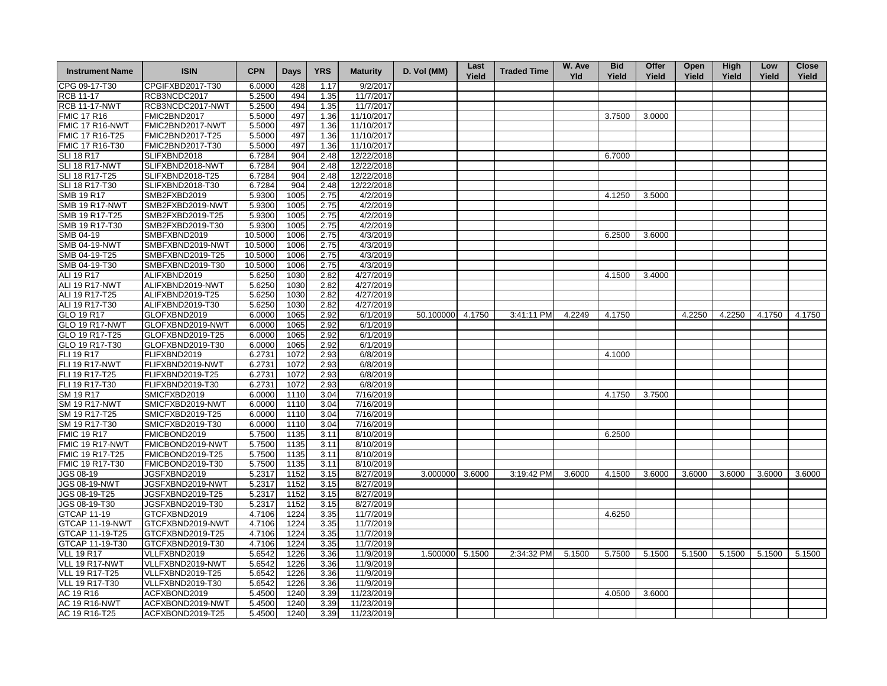| <b>Instrument Name</b> | <b>ISIN</b>      | <b>CPN</b> | <b>Days</b> | <b>YRS</b> | <b>Maturity</b> | D. Vol (MM)      | Last<br>Yield | <b>Traded Time</b> | W. Ave<br>Yld | <b>Bid</b><br>Yield | Offer<br>Yield | Open<br>Yield | <b>High</b><br>Yield | Low<br>Yield | <b>Close</b><br>Yield |
|------------------------|------------------|------------|-------------|------------|-----------------|------------------|---------------|--------------------|---------------|---------------------|----------------|---------------|----------------------|--------------|-----------------------|
| CPG 09-17-T30          | CPGIFXBD2017-T30 | 6.0000     | 428         | 1.17       | 9/2/2017        |                  |               |                    |               |                     |                |               |                      |              |                       |
| <b>RCB 11-17</b>       | RCB3NCDC2017     | 5.2500     | 494         | 1.35       | 11/7/2017       |                  |               |                    |               |                     |                |               |                      |              |                       |
| <b>RCB 11-17-NWT</b>   | RCB3NCDC2017-NWT | 5.2500     | 494         | 1.35       | 11/7/2017       |                  |               |                    |               |                     |                |               |                      |              |                       |
| <b>FMIC 17 R16</b>     | FMIC2BND2017     | 5.5000     | 497         | 1.36       | 11/10/2017      |                  |               |                    |               | 3.7500              | 3.0000         |               |                      |              |                       |
| FMIC 17 R16-NWT        | FMIC2BND2017-NWT | 5.5000     | 497         | 1.36       | 11/10/2017      |                  |               |                    |               |                     |                |               |                      |              |                       |
| FMIC 17 R16-T25        | FMIC2BND2017-T25 | 5.5000     | 497         | 1.36       | 11/10/2017      |                  |               |                    |               |                     |                |               |                      |              |                       |
| FMIC 17 R16-T30        | FMIC2BND2017-T30 | 5.5000     | 497         | 1.36       | 11/10/2017      |                  |               |                    |               |                     |                |               |                      |              |                       |
| <b>SLI 18 R17</b>      | SLIFXBND2018     | 6.7284     | 904         | 2.48       | 12/22/2018      |                  |               |                    |               | 6.7000              |                |               |                      |              |                       |
| SLI 18 R17-NWT         | SLIFXBND2018-NWT | 6.7284     | 904         | 2.48       | 12/22/2018      |                  |               |                    |               |                     |                |               |                      |              |                       |
| SLI 18 R17-T25         | SLIFXBND2018-T25 | 6.7284     | 904         | 2.48       | 12/22/2018      |                  |               |                    |               |                     |                |               |                      |              |                       |
| SLI 18 R17-T30         | SLIFXBND2018-T30 | 6.7284     | 904         | 2.48       | 12/22/2018      |                  |               |                    |               |                     |                |               |                      |              |                       |
| <b>SMB 19 R17</b>      | SMB2FXBD2019     | 5.9300     | 1005        | 2.75       | 4/2/2019        |                  |               |                    |               | 4.1250              | 3.5000         |               |                      |              |                       |
| <b>SMB 19 R17-NWT</b>  | SMB2FXBD2019-NWT | 5.9300     | 1005        | 2.75       | 4/2/2019        |                  |               |                    |               |                     |                |               |                      |              |                       |
| SMB 19 R17-T25         | SMB2FXBD2019-T25 | 5.9300     | 1005        | 2.75       | 4/2/2019        |                  |               |                    |               |                     |                |               |                      |              |                       |
| SMB 19 R17-T30         | SMB2FXBD2019-T30 | 5.9300     | 1005        | 2.75       | 4/2/2019        |                  |               |                    |               |                     |                |               |                      |              |                       |
| SMB 04-19              | SMBFXBND2019     | 10.5000    | 1006        | 2.75       | 4/3/2019        |                  |               |                    |               | 6.2500              | 3.6000         |               |                      |              |                       |
| <b>SMB 04-19-NWT</b>   | SMBFXBND2019-NWT | 10.5000    | 1006        | 2.75       | 4/3/2019        |                  |               |                    |               |                     |                |               |                      |              |                       |
| SMB 04-19-T25          | SMBFXBND2019-T25 | 10.5000    | 1006        | 2.75       | 4/3/2019        |                  |               |                    |               |                     |                |               |                      |              |                       |
| SMB 04-19-T30          | SMBFXBND2019-T30 | 10.5000    | 1006        | 2.75       | 4/3/2019        |                  |               |                    |               |                     |                |               |                      |              |                       |
| ALI 19 R17             | ALIFXBND2019     | 5.6250     | 1030        | 2.82       | 4/27/2019       |                  |               |                    |               | 4.1500              | 3.4000         |               |                      |              |                       |
| ALI 19 R17-NWT         | ALIFXBND2019-NWT | 5.6250     | 1030        | 2.82       | 4/27/2019       |                  |               |                    |               |                     |                |               |                      |              |                       |
| ALI 19 R17-T25         | ALIFXBND2019-T25 | 5.6250     | 1030        | 2.82       | 4/27/2019       |                  |               |                    |               |                     |                |               |                      |              |                       |
| ALI 19 R17-T30         | ALIFXBND2019-T30 | 5.6250     | 1030        | 2.82       | 4/27/2019       |                  |               |                    |               |                     |                |               |                      |              |                       |
| GLO 19 R17             | GLOFXBND2019     | 6.0000     | 1065        | 2.92       | 6/1/2019        | 50.100000 4.1750 |               | 3:41:11 PM         | 4.2249        | 4.1750              |                | 4.2250        | 4.2250               | 4.1750       | 4.1750                |
| <b>GLO 19 R17-NWT</b>  | GLOFXBND2019-NWT | 6.0000     | 1065        | 2.92       | 6/1/2019        |                  |               |                    |               |                     |                |               |                      |              |                       |
| GLO 19 R17-T25         | GLOFXBND2019-T25 | 6.0000     | 1065        | 2.92       | 6/1/2019        |                  |               |                    |               |                     |                |               |                      |              |                       |
| GLO 19 R17-T30         | GLOFXBND2019-T30 | 6.0000     | 1065        | 2.92       | 6/1/2019        |                  |               |                    |               |                     |                |               |                      |              |                       |
| FLI 19 R17             | FLIFXBND2019     | 6.2731     | 1072        | 2.93       | 6/8/2019        |                  |               |                    |               | 4.1000              |                |               |                      |              |                       |
| <b>FLI 19 R17-NWT</b>  | FLIFXBND2019-NWT | 6.2731     | 1072        | 2.93       | 6/8/2019        |                  |               |                    |               |                     |                |               |                      |              |                       |
| FLI 19 R17-T25         | FLIFXBND2019-T25 | 6.2731     | 1072        | 2.93       | 6/8/2019        |                  |               |                    |               |                     |                |               |                      |              |                       |
| FLI 19 R17-T30         | FLIFXBND2019-T30 | 6.2731     | 1072        | 2.93       | 6/8/2019        |                  |               |                    |               |                     |                |               |                      |              |                       |
| SM 19 R17              | SMICFXBD2019     | 6.0000     | 1110        | 3.04       | 7/16/2019       |                  |               |                    |               | 4.1750              | 3.7500         |               |                      |              |                       |
| <b>SM 19 R17-NWT</b>   | SMICFXBD2019-NWT | 6.0000     | 1110        | 3.04       | 7/16/2019       |                  |               |                    |               |                     |                |               |                      |              |                       |
| SM 19 R17-T25          | SMICFXBD2019-T25 | 6.0000     | 1110        | 3.04       | 7/16/2019       |                  |               |                    |               |                     |                |               |                      |              |                       |
| SM 19 R17-T30          | SMICFXBD2019-T30 | 6.0000     | 1110        | 3.04       | 7/16/2019       |                  |               |                    |               |                     |                |               |                      |              |                       |
| <b>FMIC 19 R17</b>     | FMICBOND2019     | 5.7500     | 1135        | 3.11       | 8/10/2019       |                  |               |                    |               | 6.2500              |                |               |                      |              |                       |
| FMIC 19 R17-NWT        | FMICBOND2019-NWT | 5.7500     | 1135        | 3.11       | 8/10/2019       |                  |               |                    |               |                     |                |               |                      |              |                       |
| FMIC 19 R17-T25        | FMICBOND2019-T25 | 5.7500     | 1135        | 3.11       | 8/10/2019       |                  |               |                    |               |                     |                |               |                      |              |                       |
| FMIC 19 R17-T30        | FMICBOND2019-T30 | 5.7500     | 1135        | 3.11       | 8/10/2019       |                  |               |                    |               |                     |                |               |                      |              |                       |
| <b>JGS 08-19</b>       | JGSFXBND2019     | 5.2317     | 1152        | 3.15       | 8/27/2019       | 3.000000 3.6000  |               | 3:19:42 PM         | 3.6000        | 4.1500              | 3.6000         | 3.6000        | 3.6000               | 3.6000       | 3.6000                |
| <b>JGS 08-19-NWT</b>   | JGSFXBND2019-NWT | 5.2317     | 1152        | 3.15       | 8/27/2019       |                  |               |                    |               |                     |                |               |                      |              |                       |
| JGS 08-19-T25          | JGSFXBND2019-T25 | 5.2317     | 1152        | 3.15       | 8/27/2019       |                  |               |                    |               |                     |                |               |                      |              |                       |
| JGS 08-19-T30          | JGSFXBND2019-T30 | 5.2317     | 1152        | 3.15       | 8/27/2019       |                  |               |                    |               |                     |                |               |                      |              |                       |
| GTCAP 11-19            | GTCFXBND2019     | 4.7106     | 1224        | 3.35       | 11/7/2019       |                  |               |                    |               | 4.6250              |                |               |                      |              |                       |
| GTCAP 11-19-NWT        | GTCFXBND2019-NWT | 4.7106     | 1224        | 3.35       | 11/7/2019       |                  |               |                    |               |                     |                |               |                      |              |                       |
| GTCAP 11-19-T25        | GTCFXBND2019-T25 | 4.7106     | 1224        | 3.35       | 11/7/2019       |                  |               |                    |               |                     |                |               |                      |              |                       |
| GTCAP 11-19-T30        | GTCFXBND2019-T30 | 4.7106     | 1224        | 3.35       | 11/7/2019       |                  |               |                    |               |                     |                |               |                      |              |                       |
| <b>VLL 19 R17</b>      | VLLFXBND2019     | 5.6542     | 1226        | 3.36       | 11/9/2019       | 1.500000 5.1500  |               | 2:34:32 PM         | 5.1500        | 5.7500              | 5.1500         | 5.1500        | 5.1500               | 5.1500       | 5.1500                |
| <b>VLL 19 R17-NWT</b>  | VLLFXBND2019-NWT | 5.6542     | 1226        | 3.36       | 11/9/2019       |                  |               |                    |               |                     |                |               |                      |              |                       |
| <b>VLL 19 R17-T25</b>  | VLLFXBND2019-T25 | 5.6542     | 1226        | 3.36       | 11/9/2019       |                  |               |                    |               |                     |                |               |                      |              |                       |
| <b>VLL 19 R17-T30</b>  | VLLFXBND2019-T30 | 5.6542     | 1226        | 3.36       | 11/9/2019       |                  |               |                    |               |                     |                |               |                      |              |                       |
| AC 19 R16              | ACFXBOND2019     | 5.4500     | 1240        | 3.39       | 11/23/2019      |                  |               |                    |               | 4.0500              | 3.6000         |               |                      |              |                       |
| <b>AC 19 R16-NWT</b>   | ACFXBOND2019-NWT | 5.4500     | 1240        | 3.39       | 11/23/2019      |                  |               |                    |               |                     |                |               |                      |              |                       |
| AC 19 R16-T25          | ACFXBOND2019-T25 | 5.4500     | 1240        | 3.39       | 11/23/2019      |                  |               |                    |               |                     |                |               |                      |              |                       |
|                        |                  |            |             |            |                 |                  |               |                    |               |                     |                |               |                      |              |                       |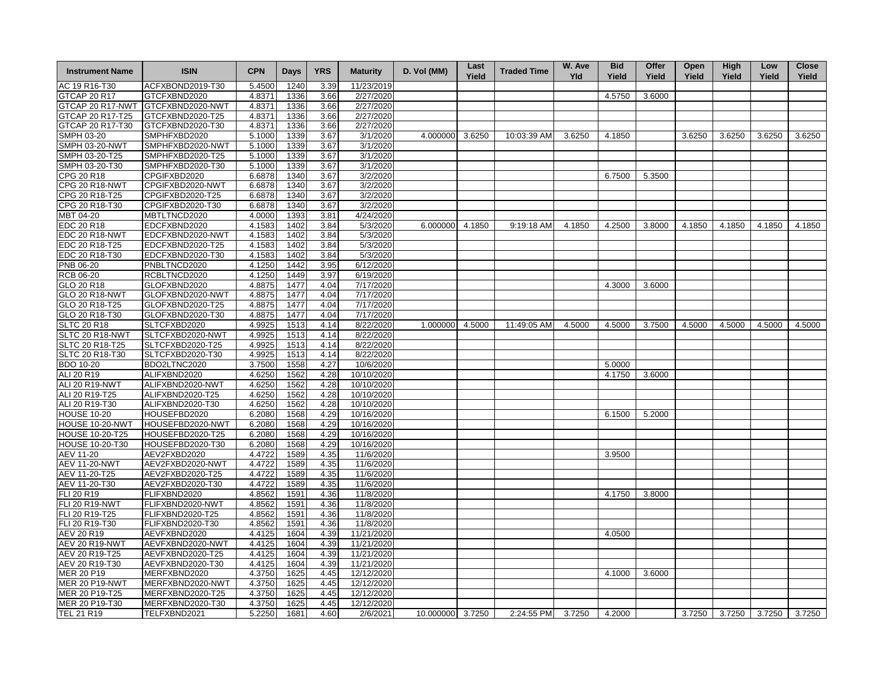| <b>Instrument Name</b> | <b>ISIN</b>      | <b>CPN</b> | <b>Days</b> | <b>YRS</b> | <b>Maturity</b>        | D. Vol (MM)      | Last<br>Yield | <b>Traded Time</b> | W. Ave<br>Yld | <b>Bid</b><br>Yield | Offer<br>Yield | Open<br>Yield | <b>High</b><br>Yield | Low<br>Yield | <b>Close</b><br>Yield |
|------------------------|------------------|------------|-------------|------------|------------------------|------------------|---------------|--------------------|---------------|---------------------|----------------|---------------|----------------------|--------------|-----------------------|
| AC 19 R16-T30          | ACFXBOND2019-T30 | 5.4500     | 1240        | 3.39       | 11/23/2019             |                  |               |                    |               |                     |                |               |                      |              |                       |
| GTCAP 20 R17           | GTCFXBND2020     | 4.8371     | 1336        | 3.66       | 2/27/2020              |                  |               |                    |               | 4.5750              | 3.6000         |               |                      |              |                       |
| GTCAP 20 R17-NWT       | GTCFXBND2020-NWT | 4.8371     | 1336        | 3.66       | 2/27/2020              |                  |               |                    |               |                     |                |               |                      |              |                       |
| GTCAP 20 R17-T25       | GTCFXBND2020-T25 | 4.8371     | 1336        | 3.66       | 2/27/2020              |                  |               |                    |               |                     |                |               |                      |              |                       |
| GTCAP 20 R17-T30       | GTCFXBND2020-T30 | 4.8371     | 1336        | 3.66       | 2/27/2020              |                  |               |                    |               |                     |                |               |                      |              |                       |
| SMPH 03-20             | SMPHFXBD2020     | 5.1000     | 1339        | 3.67       | 3/1/2020               | 4.000000 3.6250  |               | 10:03:39 AM        | 3.6250        | 4.1850              |                | 3.6250        | 3.6250               | 3.6250       | 3.6250                |
| <b>SMPH 03-20-NWT</b>  | SMPHFXBD2020-NWT | 5.1000     | 1339        | 3.67       | 3/1/2020               |                  |               |                    |               |                     |                |               |                      |              |                       |
| SMPH 03-20-T25         | SMPHFXBD2020-T25 | 5.1000     | 1339        | 3.67       | 3/1/2020               |                  |               |                    |               |                     |                |               |                      |              |                       |
| SMPH 03-20-T30         | SMPHFXBD2020-T30 | 5.1000     | 1339        | 3.67       | 3/1/2020               |                  |               |                    |               |                     |                |               |                      |              |                       |
| CPG 20 R18             | CPGIFXBD2020     | 6.6878     | 1340        | 3.67       | 3/2/2020               |                  |               |                    |               | 6.7500              | 5.3500         |               |                      |              |                       |
| <b>CPG 20 R18-NWT</b>  | CPGIFXBD2020-NWT | 6.6878     | 1340        | 3.67       | 3/2/2020               |                  |               |                    |               |                     |                |               |                      |              |                       |
| CPG 20 R18-T25         | CPGIFXBD2020-T25 | 6.6878     | 1340        | 3.67       | 3/2/2020               |                  |               |                    |               |                     |                |               |                      |              |                       |
| CPG 20 R18-T30         | CPGIFXBD2020-T30 | 6.6878     | 1340        | 3.67       | 3/2/2020               |                  |               |                    |               |                     |                |               |                      |              |                       |
| MBT 04-20              | MBTLTNCD2020     | 4.0000     | 1393        | 3.81       | 4/24/2020              |                  |               |                    |               |                     |                |               |                      |              |                       |
| EDC 20 R18             | EDCFXBND2020     | 4.1583     | 1402        | 3.84       | 5/3/2020               | 6.000000 4.1850  |               | 9:19:18 AM         | 4.1850        | 4.2500              | 3.8000         | 4.1850        | 4.1850               | 4.1850       | 4.1850                |
| EDC 20 R18-NWT         | EDCFXBND2020-NWT | 4.1583     | 1402        | 3.84       | 5/3/2020               |                  |               |                    |               |                     |                |               |                      |              |                       |
| EDC 20 R18-T25         | EDCFXBND2020-T25 | 4.1583     | 1402        | 3.84       | 5/3/2020               |                  |               |                    |               |                     |                |               |                      |              |                       |
| EDC 20 R18-T30         | EDCFXBND2020-T30 | 4.1583     | 1402        | 3.84       | 5/3/2020               |                  |               |                    |               |                     |                |               |                      |              |                       |
| PNB 06-20              | PNBLTNCD2020     | 4.1250     | 1442        | 3.95       | 6/12/2020              |                  |               |                    |               |                     |                |               |                      |              |                       |
| <b>RCB 06-20</b>       | RCBLTNCD2020     | 4.1250     | 1449        | 3.97       | 6/19/2020              |                  |               |                    |               |                     |                |               |                      |              |                       |
| GLO 20 R18             | GLOFXBND2020     | 4.8875     | 1477        | 4.04       | 7/17/2020              |                  |               |                    |               | 4.3000              | 3.6000         |               |                      |              |                       |
| <b>GLO 20 R18-NWT</b>  | GLOFXBND2020-NWT | 4.8875     | 1477        | 4.04       | 7/17/2020              |                  |               |                    |               |                     |                |               |                      |              |                       |
|                        |                  |            | 1477        | 4.04       |                        |                  |               |                    |               |                     |                |               |                      |              |                       |
| GLO 20 R18-T25         | GLOFXBND2020-T25 | 4.8875     |             |            | 7/17/2020              |                  |               |                    |               |                     |                |               |                      |              |                       |
| GLO 20 R18-T30         | GLOFXBND2020-T30 | 4.8875     | 1477        | 4.04       | 7/17/2020              |                  |               |                    |               |                     |                |               |                      |              |                       |
| <b>SLTC 20 R18</b>     | SLTCFXBD2020     | 4.9925     | 1513        | 4.14       | 8/22/2020              | 1.000000 4.5000  |               | 11:49:05 AM        | 4.5000        | 4.5000              | 3.7500         | 4.5000        | 4.5000               | 4.5000       | 4.5000                |
| SLTC 20 R18-NWT        | SLTCFXBD2020-NWT | 4.9925     | 1513        | 4.14       | 8/22/2020              |                  |               |                    |               |                     |                |               |                      |              |                       |
| SLTC 20 R18-T25        | SLTCFXBD2020-T25 | 4.9925     | 1513        | 4.14       | 8/22/2020<br>8/22/2020 |                  |               |                    |               |                     |                |               |                      |              |                       |
| SLTC 20 R18-T30        | SLTCFXBD2020-T30 | 4.9925     | 1513        | 4.14       |                        |                  |               |                    |               |                     |                |               |                      |              |                       |
| <b>BDO 10-20</b>       | BDO2LTNC2020     | 3.7500     | 1558        | 4.27       | 10/6/2020              |                  |               |                    |               | 5.0000              |                |               |                      |              |                       |
| ALI 20 R19             | ALIFXBND2020     | 4.6250     | 1562        | 4.28       | 10/10/2020             |                  |               |                    |               | 4.1750              | 3.6000         |               |                      |              |                       |
| <b>ALI 20 R19-NWT</b>  | ALIFXBND2020-NWT | 4.6250     | 1562        | 4.28       | 10/10/2020             |                  |               |                    |               |                     |                |               |                      |              |                       |
| ALI 20 R19-T25         | ALIFXBND2020-T25 | 4.6250     | 1562        | 4.28       | 10/10/2020             |                  |               |                    |               |                     |                |               |                      |              |                       |
| ALI 20 R19-T30         | ALIFXBND2020-T30 | 4.6250     | 1562        | 4.28       | 10/10/2020             |                  |               |                    |               |                     |                |               |                      |              |                       |
| <b>HOUSE 10-20</b>     | HOUSEFBD2020     | 6.2080     | 1568        | 4.29       | 10/16/2020             |                  |               |                    |               | 6.1500              | 5.2000         |               |                      |              |                       |
| HOUSE 10-20-NWT        | HOUSEFBD2020-NWT | 6.2080     | 1568        | 4.29       | 10/16/2020             |                  |               |                    |               |                     |                |               |                      |              |                       |
| <b>HOUSE 10-20-T25</b> | HOUSEFBD2020-T25 | 6.2080     | 1568        | 4.29       | 10/16/2020             |                  |               |                    |               |                     |                |               |                      |              |                       |
| HOUSE 10-20-T30        | HOUSEFBD2020-T30 | 6.2080     | 1568        | 4.29       | 10/16/2020             |                  |               |                    |               |                     |                |               |                      |              |                       |
| AEV 11-20              | AEV2FXBD2020     | 4.4722     | 1589        | 4.35       | 11/6/2020              |                  |               |                    |               | 3.9500              |                |               |                      |              |                       |
| <b>AEV 11-20-NWT</b>   | AEV2FXBD2020-NWT | 4.4722     | 1589        | 4.35       | 11/6/2020              |                  |               |                    |               |                     |                |               |                      |              |                       |
| AEV 11-20-T25          | AEV2FXBD2020-T25 | 4.4722     | 1589        | 4.35       | 11/6/2020              |                  |               |                    |               |                     |                |               |                      |              |                       |
| AEV 11-20-T30          | AEV2FXBD2020-T30 | 4.4722     | 1589        | 4.35       | 11/6/2020              |                  |               |                    |               |                     |                |               |                      |              |                       |
| FLI 20 R19             | FLIFXBND2020     | 4.8562     | 1591        | 4.36       | 11/8/2020              |                  |               |                    |               | 4.1750              | 3.8000         |               |                      |              |                       |
| <b>FLI 20 R19-NWT</b>  | FLIFXBND2020-NWT | 4.8562     | 1591        | 4.36       | 11/8/2020              |                  |               |                    |               |                     |                |               |                      |              |                       |
| FLI 20 R19-T25         | FLIFXBND2020-T25 | 4.8562     | 1591        | 4.36       | 11/8/2020              |                  |               |                    |               |                     |                |               |                      |              |                       |
| FLI 20 R19-T30         | FLIFXBND2020-T30 | 4.8562     | 1591        | 4.36       | 11/8/2020              |                  |               |                    |               |                     |                |               |                      |              |                       |
| AEV 20 R19             | AEVFXBND2020     | 4.4125     | 1604        | 4.39       | 11/21/2020             |                  |               |                    |               | 4.0500              |                |               |                      |              |                       |
| <b>AEV 20 R19-NWT</b>  | AEVFXBND2020-NWT | 4.4125     | 1604        | 4.39       | 11/21/2020             |                  |               |                    |               |                     |                |               |                      |              |                       |
| AEV 20 R19-T25         | AEVFXBND2020-T25 | 4.4125     | 1604        | 4.39       | 11/21/2020             |                  |               |                    |               |                     |                |               |                      |              |                       |
| AEV 20 R19-T30         | AEVFXBND2020-T30 | 4.4125     | 1604        | 4.39       | 11/21/2020             |                  |               |                    |               |                     |                |               |                      |              |                       |
| MER 20 P19             | MERFXBND2020     | 4.3750     | 1625        | 4.45       | 12/12/2020             |                  |               |                    |               | 4.1000              | 3.6000         |               |                      |              |                       |
| <b>MER 20 P19-NWT</b>  | MERFXBND2020-NWT | 4.3750     | 1625        | 4.45       | 12/12/2020             |                  |               |                    |               |                     |                |               |                      |              |                       |
| MER 20 P19-T25         | MERFXBND2020-T25 | 4.3750     | 1625        | 4.45       | 12/12/2020             |                  |               |                    |               |                     |                |               |                      |              |                       |
| MER 20 P19-T30         | MERFXBND2020-T30 | 4.3750     | 1625        | 4.45       | 12/12/2020             |                  |               |                    |               |                     |                |               |                      |              |                       |
| TEL 21 R19             | TELFXBND2021     | 5.2250     | 1681        | 4.60       | 2/6/2021               | 10.000000 3.7250 |               | 2:24:55 PM         | 3.7250        | 4.2000              |                | 3.7250        | 3.7250               | 3.7250       | 3.7250                |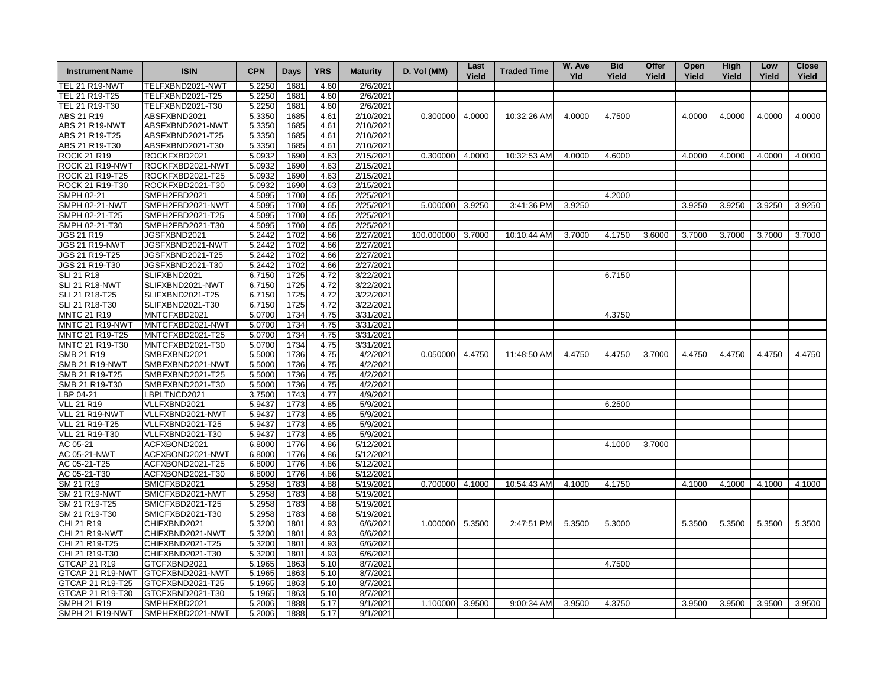| <b>Instrument Name</b> | <b>ISIN</b>      | <b>CPN</b> | <b>Days</b> | <b>YRS</b> | <b>Maturity</b> | D. Vol (MM)     | Last<br>Yield | <b>Traded Time</b> | W. Ave<br>Yld | <b>Bid</b><br>Yield | Offer<br>Yield | Open<br>Yield | High<br>Yield | Low<br>Yield | <b>Close</b><br>Yield |
|------------------------|------------------|------------|-------------|------------|-----------------|-----------------|---------------|--------------------|---------------|---------------------|----------------|---------------|---------------|--------------|-----------------------|
| TEL 21 R19-NWT         | TELFXBND2021-NWT | 5.2250     | 1681        | 4.60       | 2/6/2021        |                 |               |                    |               |                     |                |               |               |              |                       |
| TEL 21 R19-T25         | TELFXBND2021-T25 | 5.2250     | 1681        | 4.60       | 2/6/2021        |                 |               |                    |               |                     |                |               |               |              |                       |
| TEL 21 R19-T30         | TELFXBND2021-T30 | 5.2250     | 1681        | 4.60       | 2/6/2021        |                 |               |                    |               |                     |                |               |               |              |                       |
| ABS 21 R19             | ABSFXBND2021     | 5.3350     | 1685        | 4.61       | 2/10/2021       | 0.300000        | 4.0000        | 10:32:26 AM        | 4.0000        | 4.7500              |                | 4.0000        | 4.0000        | 4.0000       | 4.0000                |
| <b>ABS 21 R19-NWT</b>  | ABSFXBND2021-NWT | 5.3350     | 1685        | 4.61       | 2/10/2021       |                 |               |                    |               |                     |                |               |               |              |                       |
| ABS 21 R19-T25         | ABSFXBND2021-T25 | 5.3350     | 1685        | 4.61       | 2/10/2021       |                 |               |                    |               |                     |                |               |               |              |                       |
| ABS 21 R19-T30         | ABSFXBND2021-T30 | 5.3350     | 1685        | 4.61       | 2/10/2021       |                 |               |                    |               |                     |                |               |               |              |                       |
| ROCK 21 R19            | ROCKFXBD2021     | 5.0932     | 1690        | 4.63       | 2/15/2021       | 0.300000 4.0000 |               | 10:32:53 AM        | 4.0000        | 4.6000              |                | 4.0000        | 4.0000        | 4.0000       | 4.0000                |
| ROCK 21 R19-NW         | ROCKFXBD2021-NWT | 5.0932     | 1690        | 4.63       | 2/15/2021       |                 |               |                    |               |                     |                |               |               |              |                       |
| ROCK 21 R19-T25        | ROCKFXBD2021-T25 | 5.0932     | 1690        | 4.63       | 2/15/2021       |                 |               |                    |               |                     |                |               |               |              |                       |
| ROCK 21 R19-T30        | ROCKFXBD2021-T30 | 5.0932     | 1690        | 4.63       | 2/15/2021       |                 |               |                    |               |                     |                |               |               |              |                       |
| <b>SMPH 02-21</b>      | SMPH2FBD2021     | 4.5095     | 1700        | 4.65       | 2/25/2021       |                 |               |                    |               | 4.2000              |                |               |               |              |                       |
| <b>SMPH 02-21-NWT</b>  | SMPH2FBD2021-NWT | 4.5095     | 1700        | 4.65       | 2/25/2021       | 5.000000        | 3.9250        | 3:41:36 PM         | 3.9250        |                     |                | 3.9250        | 3.9250        | 3.9250       | 3.9250                |
| SMPH 02-21-T25         | SMPH2FBD2021-T25 | 4.5095     | 1700        | 4.65       | 2/25/2021       |                 |               |                    |               |                     |                |               |               |              |                       |
| SMPH 02-21-T30         | SMPH2FBD2021-T30 | 4.5095     | 1700        | 4.65       | 2/25/2021       |                 |               |                    |               |                     |                |               |               |              |                       |
| JGS 21 R19             | JGSFXBND2021     | 5.2442     | 1702        | 4.66       | 2/27/2021       | 100.000000      | 3.7000        | 10:10:44 AM        | 3.7000        | 4.1750              | 3.6000         | 3.7000        | 3.7000        | 3.7000       | 3.7000                |
| <b>JGS 21 R19-NWT</b>  | JGSFXBND2021-NWT | 5.2442     | 1702        | 4.66       | 2/27/2021       |                 |               |                    |               |                     |                |               |               |              |                       |
| JGS 21 R19-T25         | JGSFXBND2021-T25 | 5.2442     | 1702        | 4.66       | 2/27/2021       |                 |               |                    |               |                     |                |               |               |              |                       |
| JGS 21 R19-T30         | JGSFXBND2021-T30 | 5.2442     | 1702        | 4.66       | 2/27/2021       |                 |               |                    |               |                     |                |               |               |              |                       |
| <b>SLI 21 R18</b>      | SLIFXBND2021     | 6.7150     | 1725        | 4.72       | 3/22/2021       |                 |               |                    |               | 6.7150              |                |               |               |              |                       |
| <b>SLI 21 R18-NWT</b>  | SLIFXBND2021-NWT | 6.7150     | 1725        | 4.72       | 3/22/2021       |                 |               |                    |               |                     |                |               |               |              |                       |
| SLI 21 R18-T25         | SLIFXBND2021-T25 | 6.7150     | 1725        | 4.72       | 3/22/2021       |                 |               |                    |               |                     |                |               |               |              |                       |
| SLI 21 R18-T30         | SLIFXBND2021-T30 | 6.7150     | 1725        | 4.72       | 3/22/2021       |                 |               |                    |               |                     |                |               |               |              |                       |
| <b>MNTC 21 R19</b>     | MNTCFXBD2021     | 5.0700     | 1734        | 4.75       | 3/31/2021       |                 |               |                    |               | 4.3750              |                |               |               |              |                       |
| MNTC 21 R19-NWT        | MNTCFXBD2021-NWT | 5.0700     | 1734        | 4.75       | 3/31/2021       |                 |               |                    |               |                     |                |               |               |              |                       |
| MNTC 21 R19-T25        | MNTCFXBD2021-T25 | 5.0700     | 1734        | 4.75       | 3/31/2021       |                 |               |                    |               |                     |                |               |               |              |                       |
| MNTC 21 R19-T30        | MNTCFXBD2021-T30 | 5.0700     | 1734        | 4.75       | 3/31/2021       |                 |               |                    |               |                     |                |               |               |              |                       |
| SMB 21 R19             | SMBFXBND2021     | 5.5000     | 1736        | 4.75       | 4/2/2021        | 0.050000        | 4.4750        | 11:48:50 AM        | 4.4750        | 4.4750              | 3.7000         | 4.4750        | 4.4750        | 4.4750       | 4.4750                |
| <b>SMB 21 R19-NWT</b>  | SMBFXBND2021-NWT | 5.5000     | 1736        | 4.75       | 4/2/2021        |                 |               |                    |               |                     |                |               |               |              |                       |
| SMB 21 R19-T25         | SMBFXBND2021-T25 | 5.5000     | 1736        | 4.75       | 4/2/2021        |                 |               |                    |               |                     |                |               |               |              |                       |
| SMB 21 R19-T30         | SMBFXBND2021-T30 | 5.5000     | 1736        | 4.75       | 4/2/2021        |                 |               |                    |               |                     |                |               |               |              |                       |
| LBP 04-21              | LBPLTNCD2021     | 3.7500     | 1743        | 4.77       | 4/9/2021        |                 |               |                    |               |                     |                |               |               |              |                       |
| <b>VLL 21 R19</b>      | VLLFXBND2021     | 5.9437     | 1773        | 4.85       | 5/9/2021        |                 |               |                    |               | 6.2500              |                |               |               |              |                       |
| VLL 21 R19-NWT         | VLLFXBND2021-NWT | 5.9437     | 1773        | 4.85       | 5/9/2021        |                 |               |                    |               |                     |                |               |               |              |                       |
| <b>VLL 21 R19-T25</b>  | VLLFXBND2021-T25 | 5.9437     | 1773        | 4.85       | 5/9/2021        |                 |               |                    |               |                     |                |               |               |              |                       |
| VLL 21 R19-T30         | VLLFXBND2021-T30 | 5.9437     | 1773        | 4.85       | 5/9/2021        |                 |               |                    |               |                     |                |               |               |              |                       |
| AC 05-21               | ACFXBOND2021     | 6.8000     | 1776        | 4.86       | 5/12/2021       |                 |               |                    |               | 4.1000              | 3.7000         |               |               |              |                       |
| AC 05-21-NWT           | ACFXBOND2021-NWT | 6.8000     | 1776        | 4.86       | 5/12/2021       |                 |               |                    |               |                     |                |               |               |              |                       |
| AC 05-21-T25           | ACFXBOND2021-T25 | 6.8000     | 1776        | 4.86       | 5/12/2021       |                 |               |                    |               |                     |                |               |               |              |                       |
| AC 05-21-T30           | ACFXBOND2021-T30 | 6.8000     | 1776        | 4.86       | 5/12/2021       |                 |               |                    |               |                     |                |               |               |              |                       |
| SM 21 R19              | SMICFXBD2021     | 5.2958     | 1783        | 4.88       | 5/19/2021       | 0.700000 4.1000 |               | 10:54:43 AM        | 4.1000        | 4.1750              |                | 4.1000        | 4.1000        | 4.1000       | 4.1000                |
| <b>SM 21 R19-NWT</b>   | SMICFXBD2021-NWT | 5.2958     | 1783        | 4.88       | 5/19/2021       |                 |               |                    |               |                     |                |               |               |              |                       |
| SM 21 R19-T25          | SMICFXBD2021-T25 | 5.2958     | 1783        | 4.88       | 5/19/2021       |                 |               |                    |               |                     |                |               |               |              |                       |
| SM 21 R19-T30          | SMICFXBD2021-T30 | 5.2958     | 1783        | 4.88       | 5/19/2021       |                 |               |                    |               |                     |                |               |               |              |                       |
| CHI 21 R19             | CHIFXBND2021     | 5.3200     | 1801        | 4.93       | 6/6/2021        | 1.000000 5.3500 |               | 2:47:51 PM         | 5.3500        | 5.3000              |                | 5.3500        | 5.3500        | 5.3500       | 5.3500                |
| CHI 21 R19-NWT         | CHIFXBND2021-NWT | 5.3200     | 1801        | 4.93       | 6/6/2021        |                 |               |                    |               |                     |                |               |               |              |                       |
| CHI 21 R19-T25         | CHIFXBND2021-T25 | 5.3200     | 1801        | 4.93       | 6/6/2021        |                 |               |                    |               |                     |                |               |               |              |                       |
| CHI 21 R19-T30         | CHIFXBND2021-T30 | 5.3200     | 1801        | 4.93       | 6/6/2021        |                 |               |                    |               |                     |                |               |               |              |                       |
| GTCAP 21 R19           | GTCFXBND2021     | 5.1965     | 1863        | 5.10       | 8/7/2021        |                 |               |                    |               | 4.7500              |                |               |               |              |                       |
| GTCAP 21 R19-NWT       | GTCFXBND2021-NWT | 5.1965     | 1863        | 5.10       | 8/7/2021        |                 |               |                    |               |                     |                |               |               |              |                       |
| GTCAP 21 R19-T25       | GTCFXBND2021-T25 | 5.1965     | 1863        | 5.10       | 8/7/2021        |                 |               |                    |               |                     |                |               |               |              |                       |
| GTCAP 21 R19-T30       | GTCFXBND2021-T30 | 5.1965     | 1863        | 5.10       | 8/7/2021        |                 |               |                    |               |                     |                |               |               |              |                       |
| <b>SMPH 21 R19</b>     | SMPHFXBD2021     | 5.2006     | 1888        | 5.17       | 9/1/2021        | 1.100000 3.9500 |               | 9:00:34 AM         | 3.9500        | 4.3750              |                | 3.9500        | 3.9500        | 3.9500       | 3.9500                |
| SMPH 21 R19-NWT        | SMPHFXBD2021-NWT | 5.2006     | 1888        | 5.17       | 9/1/2021        |                 |               |                    |               |                     |                |               |               |              |                       |
|                        |                  |            |             |            |                 |                 |               |                    |               |                     |                |               |               |              |                       |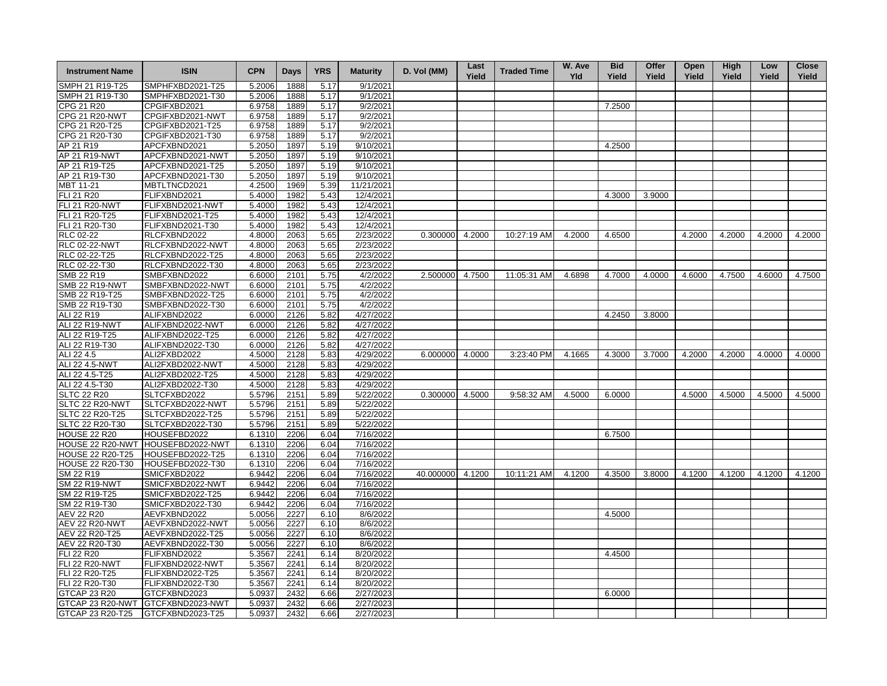| <b>Instrument Name</b>  | <b>ISIN</b>                       | <b>CPN</b> | <b>Days</b> | <b>YRS</b> | <b>Maturity</b> | D. Vol (MM)       | Last<br>Yield | <b>Traded Time</b> | W. Ave<br>Yld | <b>Bid</b><br>Yield | Offer<br>Yield | Open<br>Yield | High<br>Yield | Low<br>Yield | <b>Close</b><br>Yield |
|-------------------------|-----------------------------------|------------|-------------|------------|-----------------|-------------------|---------------|--------------------|---------------|---------------------|----------------|---------------|---------------|--------------|-----------------------|
| SMPH 21 R19-T25         | SMPHFXBD2021-T25                  | 5.2006     | 1888        | 5.17       | 9/1/2021        |                   |               |                    |               |                     |                |               |               |              |                       |
| SMPH 21 R19-T30         | SMPHFXBD2021-T30                  | 5.2006     | 1888        | 5.17       | 9/1/2021        |                   |               |                    |               |                     |                |               |               |              |                       |
| CPG 21 R20              | CPGIFXBD2021                      | 6.9758     | 1889        | 5.17       | 9/2/2021        |                   |               |                    |               | 7.2500              |                |               |               |              |                       |
| <b>CPG 21 R20-NWT</b>   | CPGIFXBD2021-NWT                  | 6.9758     | 1889        | 5.17       | 9/2/2021        |                   |               |                    |               |                     |                |               |               |              |                       |
| CPG 21 R20-T25          | CPGIFXBD2021-T25                  | 6.9758     | 1889        | 5.17       | 9/2/2021        |                   |               |                    |               |                     |                |               |               |              |                       |
| CPG 21 R20-T30          | CPGIFXBD2021-T30                  | 6.9758     | 1889        | 5.17       | 9/2/2021        |                   |               |                    |               |                     |                |               |               |              |                       |
| AP 21 R19               | APCFXBND2021                      | 5.2050     | 1897        | 5.19       | 9/10/2021       |                   |               |                    |               | 4.2500              |                |               |               |              |                       |
| AP 21 R19-NWT           | APCFXBND2021-NWT                  | 5.2050     | 1897        | 5.19       | 9/10/2021       |                   |               |                    |               |                     |                |               |               |              |                       |
| AP 21 R19-T25           | APCFXBND2021-T25                  | 5.2050     | 1897        | 5.19       | 9/10/2021       |                   |               |                    |               |                     |                |               |               |              |                       |
| AP 21 R19-T30           | APCFXBND2021-T30                  | 5.2050     | 1897        | 5.19       | 9/10/2021       |                   |               |                    |               |                     |                |               |               |              |                       |
| MBT 11-21               | MBTLTNCD2021                      | 4.2500     | 1969        | 5.39       | 11/21/2021      |                   |               |                    |               |                     |                |               |               |              |                       |
| FLI 21 R20              | FLIFXBND2021                      | 5.4000     | 1982        | 5.43       | 12/4/2021       |                   |               |                    |               | 4.3000              | 3.9000         |               |               |              |                       |
| <b>FLI 21 R20-NWT</b>   | FLIFXBND2021-NWT                  | 5.4000     | 1982        | 5.43       | 12/4/2021       |                   |               |                    |               |                     |                |               |               |              |                       |
| FLI 21 R20-T25          | FLIFXBND2021-T25                  | 5.4000     | 1982        | 5.43       | 12/4/2021       |                   |               |                    |               |                     |                |               |               |              |                       |
| FLI 21 R20-T30          | FLIFXBND2021-T30                  | 5.4000     | 1982        | 5.43       | 12/4/2021       |                   |               |                    |               |                     |                |               |               |              |                       |
| RLC 02-22               | RLCFXBND2022                      | 4.8000     | 2063        | 5.65       | 2/23/2022       | $0.300000$ 4.2000 |               | 10:27:19 AM        | 4.2000        | 4.6500              |                | 4.2000        | 4.2000        | 4.2000       | 4.2000                |
| <b>RLC 02-22-NWT</b>    | RLCFXBND2022-NWT                  | 4.8000     | 2063        | 5.65       | 2/23/2022       |                   |               |                    |               |                     |                |               |               |              |                       |
| RLC 02-22-T25           | RLCFXBND2022-T25                  | 4.8000     | 2063        | 5.65       | 2/23/2022       |                   |               |                    |               |                     |                |               |               |              |                       |
| RLC 02-22-T30           | RLCFXBND2022-T30                  | 4.8000     | 2063        | 5.65       | 2/23/2022       |                   |               |                    |               |                     |                |               |               |              |                       |
| SMB 22 R19              | SMBFXBND2022                      | 6.6000     | 2101        | 5.75       | 4/2/2022        | 2.500000 4.7500   |               | 11:05:31 AM        | 4.6898        | 4.7000              | 4.0000         | 4.6000        | 4.7500        | 4.6000       | 4.7500                |
| <b>SMB 22 R19-NWT</b>   | SMBFXBND2022-NWT                  | 6.6000     | 2101        | 5.75       | 4/2/2022        |                   |               |                    |               |                     |                |               |               |              |                       |
| SMB 22 R19-T25          | SMBFXBND2022-T25                  | 6.6000     | 2101        | 5.75       | 4/2/2022        |                   |               |                    |               |                     |                |               |               |              |                       |
| SMB 22 R19-T30          | SMBFXBND2022-T30                  | 6.6000     | 2101        | 5.75       | 4/2/2022        |                   |               |                    |               |                     |                |               |               |              |                       |
| ALI 22 R19              | ALIFXBND2022                      | 6.0000     | 2126        | 5.82       | 4/27/2022       |                   |               |                    |               | 4.2450              | 3.8000         |               |               |              |                       |
| ALI 22 R19-NWT          | ALIFXBND2022-NWT                  | 6.0000     | 2126        | 5.82       | 4/27/2022       |                   |               |                    |               |                     |                |               |               |              |                       |
| ALI 22 R19-T25          | ALIFXBND2022-T25                  | 6.0000     | 2126        | 5.82       | 4/27/2022       |                   |               |                    |               |                     |                |               |               |              |                       |
| ALI 22 R19-T30          | ALIFXBND2022-T30                  | 6.0000     | 2126        | 5.82       | 4/27/2022       |                   |               |                    |               |                     |                |               |               |              |                       |
| ALI 22 4.5              | ALI2FXBD2022                      | 4.5000     | 2128        | 5.83       | 4/29/2022       | 6.000000 4.0000   |               | 3:23:40 PM         | 4.1665        | 4.3000              | 3.7000         | 4.2000        | 4.2000        | 4.0000       | 4.0000                |
| ALI 22 4.5-NWT          | ALI2FXBD2022-NWT                  | 4.5000     | 2128        | 5.83       | 4/29/2022       |                   |               |                    |               |                     |                |               |               |              |                       |
| ALI 22 4.5-T25          | ALI2FXBD2022-T25                  | 4.5000     | 2128        | 5.83       | 4/29/2022       |                   |               |                    |               |                     |                |               |               |              |                       |
| ALI 22 4.5-T30          | ALI2FXBD2022-T30                  | 4.5000     | 2128        | 5.83       | 4/29/2022       |                   |               |                    |               |                     |                |               |               |              |                       |
| <b>SLTC 22 R20</b>      | SLTCFXBD2022                      | 5.5796     | 2151        | 5.89       | 5/22/2022       | $0.300000$ 4.5000 |               | 9:58:32 AM         | 4.5000        | 6.0000              |                | 4.5000        | 4.5000        | 4.5000       | 4.5000                |
| SLTC 22 R20-NWT         | SLTCFXBD2022-NWT                  | 5.5796     | 2151        | 5.89       | 5/22/2022       |                   |               |                    |               |                     |                |               |               |              |                       |
| SLTC 22 R20-T25         | SLTCFXBD2022-T25                  | 5.5796     | 2151        | 5.89       | 5/22/2022       |                   |               |                    |               |                     |                |               |               |              |                       |
| SLTC 22 R20-T30         | SLTCFXBD2022-T30                  | 5.5796     | 2151        | 5.89       | 5/22/2022       |                   |               |                    |               |                     |                |               |               |              |                       |
| <b>HOUSE 22 R20</b>     | HOUSEFBD2022                      | 6.1310     | 2206        | 6.04       | 7/16/2022       |                   |               |                    |               | 6.7500              |                |               |               |              |                       |
| HOUSE 22 R20-NWT        | HOUSEFBD2022-NWT                  | 6.1310     | 2206        | 6.04       | 7/16/2022       |                   |               |                    |               |                     |                |               |               |              |                       |
| <b>HOUSE 22 R20-T25</b> | HOUSEFBD2022-T25                  | 6.1310     | 2206        | 6.04       | 7/16/2022       |                   |               |                    |               |                     |                |               |               |              |                       |
| <b>HOUSE 22 R20-T30</b> | HOUSEFBD2022-T30                  | 6.1310     | 2206        | 6.04       | 7/16/2022       |                   |               |                    |               |                     |                |               |               |              |                       |
| SM 22 R19               | SMICFXBD2022                      | 6.9442     | 2206        | 6.04       | 7/16/2022       | 40.000000 4.1200  |               | 10:11:21 AM        | 4.1200        | 4.3500              | 3.8000         | 4.1200        | 4.1200        | 4.1200       | 4.1200                |
| <b>SM 22 R19-NWT</b>    | SMICFXBD2022-NWT                  | 6.9442     | 2206        | 6.04       | 7/16/2022       |                   |               |                    |               |                     |                |               |               |              |                       |
| SM 22 R19-T25           | SMICFXBD2022-T25                  | 6.9442     | 2206        | 6.04       | 7/16/2022       |                   |               |                    |               |                     |                |               |               |              |                       |
| SM 22 R19-T30           | SMICFXBD2022-T30                  | 6.9442     | 2206        | 6.04       | 7/16/2022       |                   |               |                    |               |                     |                |               |               |              |                       |
| AEV 22 R20              | AEVFXBND2022                      | 5.0056     | 2227        | 6.10       | 8/6/2022        |                   |               |                    |               | 4.5000              |                |               |               |              |                       |
| <b>AEV 22 R20-NWT</b>   | AEVFXBND2022-NWT                  | 5.0056     | 2227        | 6.10       | 8/6/2022        |                   |               |                    |               |                     |                |               |               |              |                       |
| AEV 22 R20-T25          | AEVFXBND2022-T25                  | 5.0056     | 2227        | 6.10       | 8/6/2022        |                   |               |                    |               |                     |                |               |               |              |                       |
| AEV 22 R20-T30          | AEVFXBND2022-T30                  | 5.0056     | 2227        | 6.10       | 8/6/2022        |                   |               |                    |               |                     |                |               |               |              |                       |
| <b>FLI 22 R20</b>       | FLIFXBND2022                      | 5.3567     | 2241        | 6.14       | 8/20/2022       |                   |               |                    |               | 4.4500              |                |               |               |              |                       |
| <b>FLI 22 R20-NWT</b>   | FLIFXBND2022-NWT                  | 5.3567     | 2241        | 6.14       | 8/20/2022       |                   |               |                    |               |                     |                |               |               |              |                       |
| FLI 22 R20-T25          | FLIFXBND2022-T25                  | 5.3567     | 2241        | 6.14       | 8/20/2022       |                   |               |                    |               |                     |                |               |               |              |                       |
| FLI 22 R20-T30          | FLIFXBND2022-T30                  | 5.3567     | 2241        | 6.14       | 8/20/2022       |                   |               |                    |               |                     |                |               |               |              |                       |
| GTCAP 23 R20            | GTCFXBND2023                      | 5.0937     | 2432        | 6.66       | 2/27/2023       |                   |               |                    |               | 6.0000              |                |               |               |              |                       |
|                         | GTCAP 23 R20-NWT GTCFXBND2023-NWT | 5.0937     | 2432        | 6.66       | 2/27/2023       |                   |               |                    |               |                     |                |               |               |              |                       |
| GTCAP 23 R20-T25        | GTCFXBND2023-T25                  | 5.0937     | 2432        | 6.66       | 2/27/2023       |                   |               |                    |               |                     |                |               |               |              |                       |
|                         |                                   |            |             |            |                 |                   |               |                    |               |                     |                |               |               |              |                       |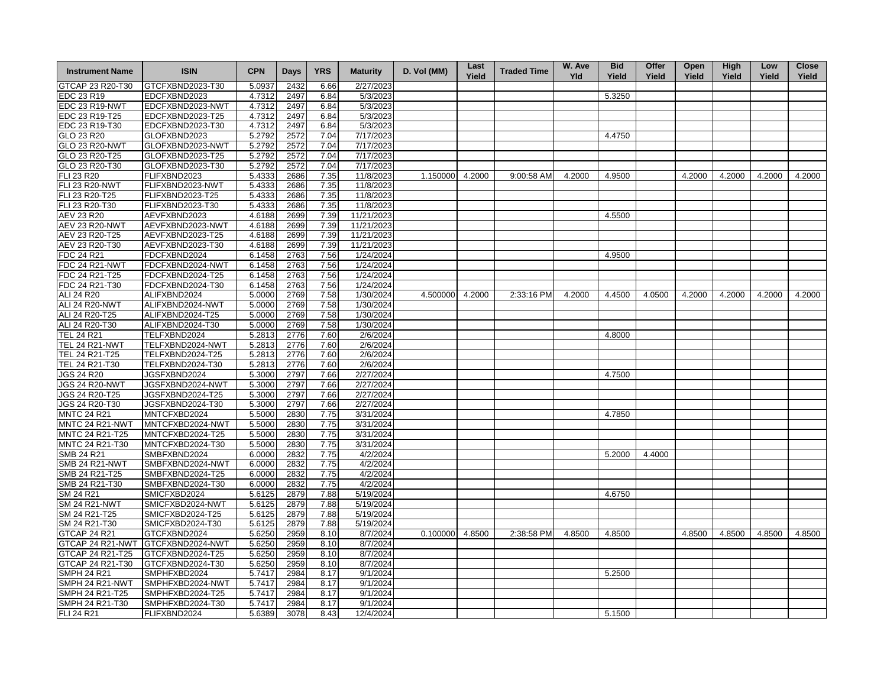| <b>Instrument Name</b> | <b>ISIN</b>      | <b>CPN</b> | <b>Days</b> | <b>YRS</b> | <b>Maturity</b> | D. Vol (MM)     | Last<br>Yield | <b>Traded Time</b> | W. Ave<br>Yld | <b>Bid</b><br>Yield | Offer<br>Yield | Open<br>Yield | <b>High</b><br>Yield | Low<br>Yield | <b>Close</b><br>Yield |
|------------------------|------------------|------------|-------------|------------|-----------------|-----------------|---------------|--------------------|---------------|---------------------|----------------|---------------|----------------------|--------------|-----------------------|
| GTCAP 23 R20-T30       | GTCFXBND2023-T30 | 5.0937     | 2432        | 6.66       | 2/27/2023       |                 |               |                    |               |                     |                |               |                      |              |                       |
| EDC 23 R19             | EDCFXBND2023     | 4.7312     | 2497        | 6.84       | 5/3/2023        |                 |               |                    |               | 5.3250              |                |               |                      |              |                       |
| EDC 23 R19-NWT         | EDCFXBND2023-NWT | 4.7312     | 2497        | 6.84       | 5/3/2023        |                 |               |                    |               |                     |                |               |                      |              |                       |
| EDC 23 R19-T25         | EDCFXBND2023-T25 | 4.7312     | 2497        | 6.84       | 5/3/2023        |                 |               |                    |               |                     |                |               |                      |              |                       |
| EDC 23 R19-T30         | EDCFXBND2023-T30 | 4.7312     | 2497        | 6.84       | 5/3/2023        |                 |               |                    |               |                     |                |               |                      |              |                       |
| GLO 23 R20             | GLOFXBND2023     | 5.2792     | 2572        | 7.04       | 7/17/2023       |                 |               |                    |               | 4.4750              |                |               |                      |              |                       |
| GLO 23 R20-NWT         | GLOFXBND2023-NWT | 5.2792     | 2572        | 7.04       | 7/17/2023       |                 |               |                    |               |                     |                |               |                      |              |                       |
| GLO 23 R20-T25         | GLOFXBND2023-T25 | 5.2792     | 2572        | 7.04       | 7/17/2023       |                 |               |                    |               |                     |                |               |                      |              |                       |
| GLO 23 R20-T30         | GLOFXBND2023-T30 | 5.2792     | 2572        | 7.04       | 7/17/2023       |                 |               |                    |               |                     |                |               |                      |              |                       |
| <b>FLI 23 R20</b>      | FLIFXBND2023     | 5.4333     | 2686        | 7.35       | 11/8/2023       | 1.150000        | 4.2000        | 9:00:58 AM         | 4.2000        | 4.9500              |                | 4.2000        | 4.2000               | 4.2000       | 4.2000                |
| FLI 23 R20-NWT         | FLIFXBND2023-NWT | 5.4333     | 2686        | 7.35       | 11/8/2023       |                 |               |                    |               |                     |                |               |                      |              |                       |
| FLI 23 R20-T25         | FLIFXBND2023-T25 | 5.4333     | 2686        | 7.35       | 11/8/2023       |                 |               |                    |               |                     |                |               |                      |              |                       |
| FLI 23 R20-T30         | FLIFXBND2023-T30 | 5.4333     | 2686        | 7.35       | 11/8/2023       |                 |               |                    |               |                     |                |               |                      |              |                       |
| AEV 23 R20             | AEVFXBND2023     | 4.6188     | 2699        | 7.39       | 11/21/2023      |                 |               |                    |               | 4.5500              |                |               |                      |              |                       |
| <b>AEV 23 R20-NWT</b>  | AEVFXBND2023-NWT | 4.6188     | 2699        | 7.39       | 11/21/2023      |                 |               |                    |               |                     |                |               |                      |              |                       |
| AEV 23 R20-T25         | AEVFXBND2023-T25 | 4.6188     | 2699        | 7.39       | 11/21/2023      |                 |               |                    |               |                     |                |               |                      |              |                       |
| AEV 23 R20-T30         | AEVFXBND2023-T30 | 4.6188     | 2699        | 7.39       | 11/21/2023      |                 |               |                    |               |                     |                |               |                      |              |                       |
|                        |                  |            |             |            |                 |                 |               |                    |               |                     |                |               |                      |              |                       |
| FDC 24 R21             | FDCFXBND2024     | 6.1458     | 2763        | 7.56       | 1/24/2024       |                 |               |                    |               | 4.9500              |                |               |                      |              |                       |
| <b>FDC 24 R21-NWT</b>  | FDCFXBND2024-NWT | 6.1458     | 2763        | 7.56       | 1/24/2024       |                 |               |                    |               |                     |                |               |                      |              |                       |
| FDC 24 R21-T25         | FDCFXBND2024-T25 | 6.1458     | 2763        | 7.56       | 1/24/2024       |                 |               |                    |               |                     |                |               |                      |              |                       |
| FDC 24 R21-T30         | FDCFXBND2024-T30 | 6.1458     | 2763        | 7.56       | 1/24/2024       |                 |               |                    |               |                     |                |               |                      |              |                       |
| ALI 24 R20             | ALIFXBND2024     | 5.0000     | 2769        | 7.58       | 1/30/2024       | 4.500000 4.2000 |               | 2:33:16 PM         | 4.2000        | 4.4500              | 4.0500         | 4.2000        | 4.2000               | 4.2000       | 4.2000                |
| ALI 24 R20-NWT         | ALIFXBND2024-NWT | 5.0000     | 2769        | 7.58       | 1/30/2024       |                 |               |                    |               |                     |                |               |                      |              |                       |
| ALI 24 R20-T25         | ALIFXBND2024-T25 | 5.0000     | 2769        | 7.58       | 1/30/2024       |                 |               |                    |               |                     |                |               |                      |              |                       |
| ALI 24 R20-T30         | ALIFXBND2024-T30 | 5.0000     | 2769        | 7.58       | 1/30/2024       |                 |               |                    |               |                     |                |               |                      |              |                       |
| <b>TEL 24 R21</b>      | TELFXBND2024     | 5.2813     | 2776        | 7.60       | 2/6/2024        |                 |               |                    |               | 4.8000              |                |               |                      |              |                       |
| <b>TEL 24 R21-NWT</b>  | TELFXBND2024-NWT | 5.2813     | 2776        | 7.60       | 2/6/2024        |                 |               |                    |               |                     |                |               |                      |              |                       |
| TEL 24 R21-T25         | TELFXBND2024-T25 | 5.2813     | 2776        | 7.60       | 2/6/2024        |                 |               |                    |               |                     |                |               |                      |              |                       |
| TEL 24 R21-T30         | TELFXBND2024-T30 | 5.2813     | 2776        | 7.60       | 2/6/2024        |                 |               |                    |               |                     |                |               |                      |              |                       |
| <b>JGS 24 R20</b>      | JGSFXBND2024     | 5.3000     | 2797        | 7.66       | 2/27/2024       |                 |               |                    |               | 4.7500              |                |               |                      |              |                       |
| JGS 24 R20-NWT         | JGSFXBND2024-NWT | 5.3000     | 2797        | 7.66       | 2/27/2024       |                 |               |                    |               |                     |                |               |                      |              |                       |
| JGS 24 R20-T25         | JGSFXBND2024-T25 | 5.3000     | 2797        | 7.66       | 2/27/2024       |                 |               |                    |               |                     |                |               |                      |              |                       |
| JGS 24 R20-T30         | JGSFXBND2024-T30 | 5.3000     | 2797        | 7.66       | 2/27/2024       |                 |               |                    |               |                     |                |               |                      |              |                       |
| <b>MNTC 24 R21</b>     | MNTCFXBD2024     | 5.5000     | 2830        | 7.75       | 3/31/2024       |                 |               |                    |               | 4.7850              |                |               |                      |              |                       |
| MNTC 24 R21-NWT        | MNTCFXBD2024-NWT | 5.5000     | 2830        | 7.75       | 3/31/2024       |                 |               |                    |               |                     |                |               |                      |              |                       |
| MNTC 24 R21-T25        | MNTCFXBD2024-T25 | 5.5000     | 2830        | 7.75       | 3/31/2024       |                 |               |                    |               |                     |                |               |                      |              |                       |
| MNTC 24 R21-T30        | MNTCFXBD2024-T30 | 5.5000     | 2830        | 7.75       | 3/31/2024       |                 |               |                    |               |                     |                |               |                      |              |                       |
| SMB 24 R21             | SMBFXBND2024     | 6.0000     | 2832        | 7.75       | 4/2/2024        |                 |               |                    |               | 5.2000              | 4.4000         |               |                      |              |                       |
| SMB 24 R21-NWT         | SMBFXBND2024-NWT | 6.0000     | 2832        | 7.75       | 4/2/2024        |                 |               |                    |               |                     |                |               |                      |              |                       |
| SMB 24 R21-T25         | SMBFXBND2024-T25 | 6.0000     | 2832        | 7.75       | 4/2/2024        |                 |               |                    |               |                     |                |               |                      |              |                       |
| SMB 24 R21-T30         | SMBFXBND2024-T30 | 6.0000     | 2832        | 7.75       | 4/2/2024        |                 |               |                    |               |                     |                |               |                      |              |                       |
| SM 24 R21              | SMICFXBD2024     | 5.6125     | 2879        | 7.88       | 5/19/2024       |                 |               |                    |               | 4.6750              |                |               |                      |              |                       |
| <b>SM 24 R21-NWT</b>   | SMICFXBD2024-NWT | 5.6125     | 2879        | 7.88       | 5/19/2024       |                 |               |                    |               |                     |                |               |                      |              |                       |
| SM 24 R21-T25          | SMICFXBD2024-T25 | 5.6125     | 2879        | 7.88       | 5/19/2024       |                 |               |                    |               |                     |                |               |                      |              |                       |
| SM 24 R21-T30          | SMICFXBD2024-T30 | 5.6125     | 2879        | 7.88       | 5/19/2024       |                 |               |                    |               |                     |                |               |                      |              |                       |
| GTCAP 24 R21           | GTCFXBND2024     | 5.6250     | 2959        | 8.10       | 8/7/2024        | 0.100000        | 4.8500        | 2:38:58 PM         | 4.8500        | 4.8500              |                | 4.8500        | 4.8500               | 4.8500       | 4.8500                |
| GTCAP 24 R21-NWT       | GTCFXBND2024-NWT | 5.6250     | 2959        | 8.10       | 8/7/2024        |                 |               |                    |               |                     |                |               |                      |              |                       |
| GTCAP 24 R21-T25       | GTCFXBND2024-T25 | 5.6250     | 2959        | 8.10       | 8/7/2024        |                 |               |                    |               |                     |                |               |                      |              |                       |
| GTCAP 24 R21-T30       | GTCFXBND2024-T30 | 5.6250     | 2959        | 8.10       | 8/7/2024        |                 |               |                    |               |                     |                |               |                      |              |                       |
| <b>SMPH 24 R21</b>     | SMPHFXBD2024     | 5.7417     | 2984        | 8.17       | 9/1/2024        |                 |               |                    |               | 5.2500              |                |               |                      |              |                       |
| SMPH 24 R21-NWT        | SMPHFXBD2024-NWT | 5.7417     | 2984        | 8.17       | 9/1/2024        |                 |               |                    |               |                     |                |               |                      |              |                       |
| SMPH 24 R21-T25        | SMPHFXBD2024-T25 | 5.7417     | 2984        | 8.17       | 9/1/2024        |                 |               |                    |               |                     |                |               |                      |              |                       |
| SMPH 24 R21-T30        | SMPHFXBD2024-T30 | 5.7417     | 2984        | 8.17       | 9/1/2024        |                 |               |                    |               |                     |                |               |                      |              |                       |
| <b>FLI 24 R21</b>      | FLIFXBND2024     | 5.6389     | 3078        | 8.43       | 12/4/2024       |                 |               |                    |               | 5.1500              |                |               |                      |              |                       |
|                        |                  |            |             |            |                 |                 |               |                    |               |                     |                |               |                      |              |                       |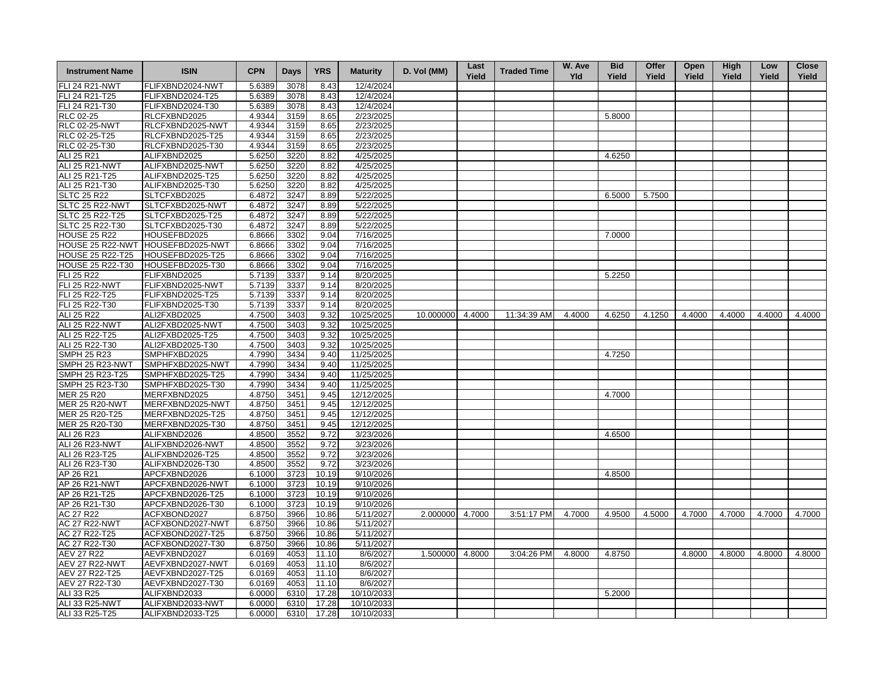| <b>Instrument Name</b>            | <b>ISIN</b>                          | <b>CPN</b>       | Days         | <b>YRS</b>     | <b>Maturity</b>        | D. Vol (MM)      | Last<br>Yield | <b>Traded Time</b> | W. Ave<br><b>Yld</b> | <b>Bid</b><br>Yield | Offer<br>Yield | Open<br>Yield | <b>High</b><br>Yield | Low<br>Yield | <b>Close</b><br>Yield |
|-----------------------------------|--------------------------------------|------------------|--------------|----------------|------------------------|------------------|---------------|--------------------|----------------------|---------------------|----------------|---------------|----------------------|--------------|-----------------------|
| <b>FLI 24 R21-NWT</b>             | FLIFXBND2024-NWT                     | 5.6389           | 3078         | 8.43           | 12/4/2024              |                  |               |                    |                      |                     |                |               |                      |              |                       |
| FLI 24 R21-T25                    | FLIFXBND2024-T25                     | 5.6389           | 3078         | 8.43           | 12/4/2024              |                  |               |                    |                      |                     |                |               |                      |              |                       |
| FLI 24 R21-T30                    | FLIFXBND2024-T30                     | 5.6389           | 3078         | 8.43           | 12/4/2024              |                  |               |                    |                      |                     |                |               |                      |              |                       |
| RLC 02-25                         | RLCFXBND2025                         | 4.9344           | 3159         | 8.65           | 2/23/2025              |                  |               |                    |                      | 5.8000              |                |               |                      |              |                       |
| <b>RLC 02-25-NWT</b>              | RLCFXBND2025-NWT                     | 4.9344           | 3159         | 8.65           | 2/23/2025              |                  |               |                    |                      |                     |                |               |                      |              |                       |
| RLC 02-25-T25                     | RLCFXBND2025-T25                     | 4.9344           | 3159         | 8.65           | 2/23/2025              |                  |               |                    |                      |                     |                |               |                      |              |                       |
| RLC 02-25-T30                     | RLCFXBND2025-T30                     | 4.9344           | 3159         | 8.65           | 2/23/2025              |                  |               |                    |                      |                     |                |               |                      |              |                       |
| ALI 25 R21                        | ALIFXBND2025                         | 5.6250           | 3220         | 8.82           | 4/25/2025              |                  |               |                    |                      | 4.6250              |                |               |                      |              |                       |
| <b>ALI 25 R21-NWT</b>             | ALIFXBND2025-NWT                     | 5.6250           | 3220         | 8.82           | 4/25/2025              |                  |               |                    |                      |                     |                |               |                      |              |                       |
| ALI 25 R21-T25                    | ALIFXBND2025-T25                     | 5.6250           | 3220         | 8.82           | 4/25/2025              |                  |               |                    |                      |                     |                |               |                      |              |                       |
| ALI 25 R21-T30                    | ALIFXBND2025-T30                     | 5.6250           | 3220         | 8.82           | 4/25/2025              |                  |               |                    |                      |                     |                |               |                      |              |                       |
| <b>SLTC 25 R22</b>                | SLTCFXBD2025                         | 6.4872           | 3247         | 8.89           | 5/22/2025              |                  |               |                    |                      | 6.5000              | 5.7500         |               |                      |              |                       |
| SLTC 25 R22-NWT                   | SLTCFXBD2025-NWT                     | 6.4872           | 3247         | 8.89           | 5/22/2025              |                  |               |                    |                      |                     |                |               |                      |              |                       |
| SLTC 25 R22-T25                   | SLTCFXBD2025-T25                     | 6.4872           | 3247         | 8.89           | 5/22/2025              |                  |               |                    |                      |                     |                |               |                      |              |                       |
| SLTC 25 R22-T30                   | SLTCFXBD2025-T30                     | 6.4872           | 3247         | 8.89           | 5/22/2025              |                  |               |                    |                      |                     |                |               |                      |              |                       |
| <b>HOUSE 25 R22</b>               | HOUSEFBD2025                         | 6.8666           | 3302         | 9.04           | 7/16/2025              |                  |               |                    |                      | 7.0000              |                |               |                      |              |                       |
| HOUSE 25 R22-NWT                  | HOUSEFBD2025-NWT                     | 6.8666           | 3302         | 9.04           | 7/16/2025              |                  |               |                    |                      |                     |                |               |                      |              |                       |
| HOUSE 25 R22-T25                  | HOUSEFBD2025-T25                     | 6.8666           | 3302         | 9.04           | 7/16/2025              |                  |               |                    |                      |                     |                |               |                      |              |                       |
| HOUSE 25 R22-T30                  | HOUSEFBD2025-T30                     | 6.8666           | 3302         | 9.04           | 7/16/2025              |                  |               |                    |                      |                     |                |               |                      |              |                       |
| FLI 25 R22                        | FLIFXBND2025                         | 5.7139           | 3337         | 9.14           | 8/20/2025              |                  |               |                    |                      | 5.2250              |                |               |                      |              |                       |
| <b>FLI 25 R22-NWT</b>             | FLIFXBND2025-NWT                     | 5.7139           | 3337         | 9.14           | 8/20/2025              |                  |               |                    |                      |                     |                |               |                      |              |                       |
| FLI 25 R22-T25                    | FLIFXBND2025-T25                     | 5.7139           | 3337         | 9.14           | 8/20/2025              |                  |               |                    |                      |                     |                |               |                      |              |                       |
| FLI 25 R22-T30                    | FLIFXBND2025-T30                     | 5.7139           | 3337         | 9.14           | 8/20/2025              |                  |               |                    |                      |                     |                |               |                      |              |                       |
| ALI 25 R22                        | ALI2FXBD2025                         | 4.7500           | 3403         | 9.32           | 10/25/2025             | 10.000000 4.4000 |               | 11:34:39 AM        | 4.4000               | 4.6250              | 4.1250         | 4.4000        | 4.4000               | 4.4000       | 4.4000                |
| <b>ALI 25 R22-NWT</b>             | ALI2FXBD2025-NWT                     | 4.7500           | 3403         | 9.32           | 10/25/2025             |                  |               |                    |                      |                     |                |               |                      |              |                       |
| ALI 25 R22-T25                    | ALI2FXBD2025-T25                     | 4.7500           | 3403         | 9.32           | 10/25/2025             |                  |               |                    |                      |                     |                |               |                      |              |                       |
| ALI 25 R22-T30                    | ALI2FXBD2025-T30                     | 4.7500           | 3403         | 9.32           | 10/25/2025             |                  |               |                    |                      |                     |                |               |                      |              |                       |
| <b>SMPH 25 R23</b>                | SMPHFXBD2025                         | 4.7990           | 3434         | 9.40           | 11/25/2025             |                  |               |                    |                      | 4.7250              |                |               |                      |              |                       |
| SMPH 25 R23-NWT                   | SMPHFXBD2025-NWT                     | 4.7990           | 3434         | 9.40           | 11/25/2025             |                  |               |                    |                      |                     |                |               |                      |              |                       |
| SMPH 25 R23-T25                   | SMPHFXBD2025-T25                     | 4.7990           | 3434         | 9.40           | 11/25/2025             |                  |               |                    |                      |                     |                |               |                      |              |                       |
| SMPH 25 R23-T30                   | SMPHFXBD2025-T30                     | 4.7990           | 3434         | 9.40           | 11/25/2025             |                  |               |                    |                      |                     |                |               |                      |              |                       |
| MER 25 R20                        | MERFXBND2025                         | 4.8750           | 3451         | 9.45           | 12/12/2025             |                  |               |                    |                      | 4.7000              |                |               |                      |              |                       |
| <b>MER 25 R20-NWT</b>             | MERFXBND2025-NWT                     | 4.8750           | 3451         | 9.45           | 12/12/2025             |                  |               |                    |                      |                     |                |               |                      |              |                       |
| MER 25 R20-T25                    | MERFXBND2025-T25                     | 4.8750           | 3451         | 9.45           | 12/12/2025             |                  |               |                    |                      |                     |                |               |                      |              |                       |
| MER 25 R20-T30                    | MERFXBND2025-T30                     | 4.8750           | 3451         | 9.45           | 12/12/2025             |                  |               |                    |                      |                     |                |               |                      |              |                       |
| ALI 26 R23                        | ALIFXBND2026                         |                  |              |                | 3/23/2026              |                  |               |                    |                      |                     |                |               |                      |              |                       |
|                                   |                                      | 4.8500           | 3552         | 9.72           |                        |                  |               |                    |                      | 4.6500              |                |               |                      |              |                       |
| ALI 26 R23-NWT                    | ALIFXBND2026-NWT                     | 4.8500           | 3552         | 9.72<br>9.72   | 3/23/2026              |                  |               |                    |                      |                     |                |               |                      |              |                       |
| ALI 26 R23-T25                    | ALIFXBND2026-T25<br>ALIFXBND2026-T30 | 4.8500           | 3552         |                | 3/23/2026              |                  |               |                    |                      |                     |                |               |                      |              |                       |
| ALI 26 R23-T30                    |                                      | 4.8500           | 3552         | 9.72           | 3/23/2026              |                  |               |                    |                      |                     |                |               |                      |              |                       |
| AP 26 R21                         | APCFXBND2026                         | 6.1000           | 3723         | 10.19          | 9/10/2026              |                  |               |                    |                      | 4.8500              |                |               |                      |              |                       |
| AP 26 R21-NWT                     | APCFXBND2026-NWT                     | 6.1000           | 3723         | 10.19          | 9/10/2026              |                  |               |                    |                      |                     |                |               |                      |              |                       |
| AP 26 R21-T25<br>AP 26 R21-T30    | APCFXBND2026-T25                     | 6.1000<br>6.1000 | 3723<br>3723 | 10.19<br>10.19 | 9/10/2026<br>9/10/2026 |                  |               |                    |                      |                     |                |               |                      |              |                       |
|                                   | APCFXBND2026-T30                     |                  | 3966         |                |                        | 2.000000         |               | 3:51:17 PM         | 4.7000               | 4.9500              |                | 4.7000        | 4.7000               | 4.7000       | 4.7000                |
| AC 27 R22<br><b>AC 27 R22-NWT</b> | ACFXBOND2027<br>ACFXBOND2027-NWT     | 6.8750<br>6.8750 | 3966         | 10.86<br>10.86 | 5/11/2027<br>5/11/2027 |                  | 4.7000        |                    |                      |                     | 4.5000         |               |                      |              |                       |
| AC 27 R22-T25                     | ACFXBOND2027-T25                     | 6.8750           | 3966         | 10.86          | 5/11/2027              |                  |               |                    |                      |                     |                |               |                      |              |                       |
| AC 27 R22-T30                     | ACFXBOND2027-T30                     | 6.8750           | 3966         | 10.86          | 5/11/2027              |                  |               |                    |                      |                     |                |               |                      |              |                       |
| <b>AEV 27 R22</b>                 | AEVFXBND2027                         | 6.0169           | 4053         | 11.10          | 8/6/2027               | 1.500000 4.8000  |               | 3:04:26 PM         | 4.8000               | 4.8750              |                | 4.8000        | 4.8000               | 4.8000       | 4.8000                |
| AEV 27 R22-NWT                    | AEVFXBND2027-NWT                     | 6.0169           | 4053         | 11.10          | 8/6/2027               |                  |               |                    |                      |                     |                |               |                      |              |                       |
| AEV 27 R22-T25                    | AEVFXBND2027-T25                     | 6.0169           | 4053         | 11.10          | 8/6/2027               |                  |               |                    |                      |                     |                |               |                      |              |                       |
| AEV 27 R22-T30                    | AEVFXBND2027-T30                     | 6.0169           | 4053         | 11.10          | 8/6/2027               |                  |               |                    |                      |                     |                |               |                      |              |                       |
| ALI 33 R25                        | ALIFXBND2033                         | 6.0000           | 6310         | 17.28          | 10/10/2033             |                  |               |                    |                      | 5.2000              |                |               |                      |              |                       |
| ALI 33 R25-NWT                    | ALIFXBND2033-NWT                     | 6.0000           | 6310         | 17.28          | 10/10/2033             |                  |               |                    |                      |                     |                |               |                      |              |                       |
| ALI 33 R25-T25                    | ALIFXBND2033-T25                     | 6.0000           | 6310         | 17.28          | 10/10/2033             |                  |               |                    |                      |                     |                |               |                      |              |                       |
|                                   |                                      |                  |              |                |                        |                  |               |                    |                      |                     |                |               |                      |              |                       |